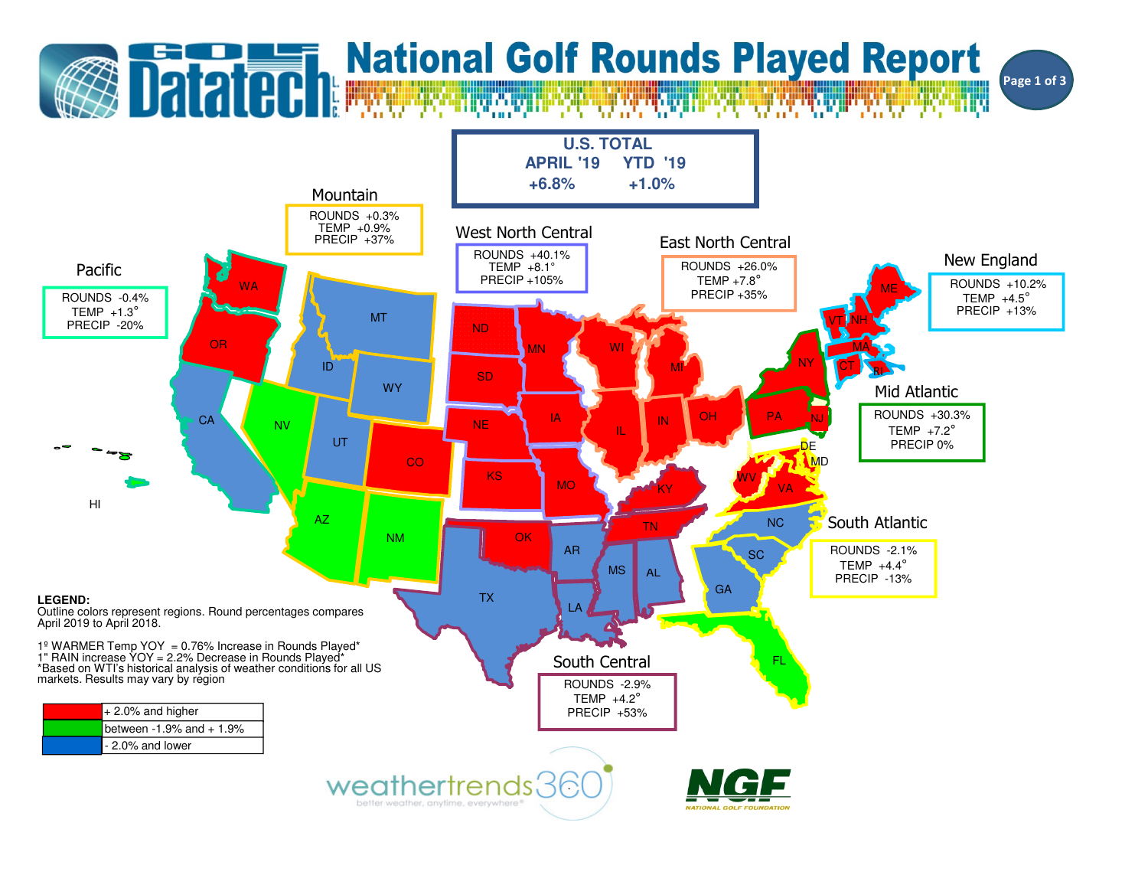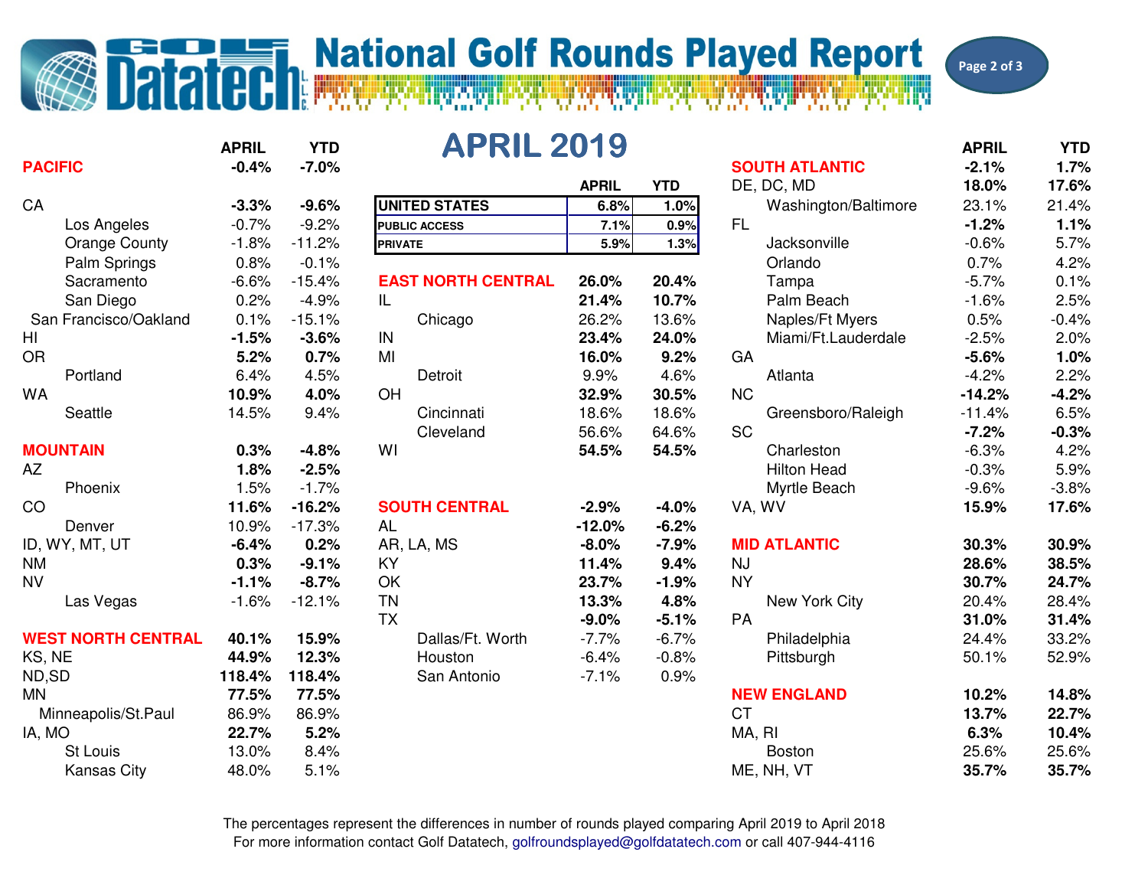## **Datated Report**<br>Datated Report

Page 2 of 3

|                           | <b>APRIL</b> | <b>YTD</b> | <b>APRIL 2019</b>         |              |            |                       | <b>APRIL</b> | <b>YTD</b> |
|---------------------------|--------------|------------|---------------------------|--------------|------------|-----------------------|--------------|------------|
| <b>PACIFIC</b>            | $-0.4%$      | $-7.0%$    |                           |              |            | <b>SOUTH ATLANTIC</b> | $-2.1%$      | 1.7%       |
|                           |              |            |                           | <b>APRIL</b> | <b>YTD</b> | DE, DC, MD            | 18.0%        | 17.6%      |
| CA                        | $-3.3%$      | $-9.6%$    | <b>UNITED STATES</b>      | 6.8%         | 1.0%       | Washington/Baltimore  | 23.1%        | 21.4%      |
| Los Angeles               | $-0.7%$      | $-9.2%$    | <b>PUBLIC ACCESS</b>      | 7.1%         | 0.9%       | <b>FL</b>             | $-1.2%$      | 1.1%       |
| <b>Orange County</b>      | $-1.8%$      | $-11.2%$   | <b>PRIVATE</b>            | 5.9%         | 1.3%       | Jacksonville          | $-0.6%$      | 5.7%       |
| Palm Springs              | 0.8%         | $-0.1%$    |                           |              |            | Orlando               | 0.7%         | 4.2%       |
| Sacramento                | $-6.6%$      | $-15.4%$   | <b>EAST NORTH CENTRAL</b> | 26.0%        | 20.4%      | Tampa                 | $-5.7%$      | 0.1%       |
| San Diego                 | 0.2%         | $-4.9%$    | IL                        | 21.4%        | 10.7%      | Palm Beach            | $-1.6%$      | 2.5%       |
| San Francisco/Oakland     | 0.1%         | $-15.1%$   | Chicago                   | 26.2%        | 13.6%      | Naples/Ft Myers       | 0.5%         | $-0.4%$    |
| HI                        | $-1.5%$      | $-3.6%$    | IN                        | 23.4%        | 24.0%      | Miami/Ft.Lauderdale   | $-2.5%$      | 2.0%       |
| <b>OR</b>                 | 5.2%         | 0.7%       | MI                        | 16.0%        | 9.2%       | GA                    | $-5.6%$      | 1.0%       |
| Portland                  | 6.4%         | 4.5%       | Detroit                   | 9.9%         | 4.6%       | Atlanta               | $-4.2%$      | 2.2%       |
| <b>WA</b>                 | 10.9%        | 4.0%       | OH                        | 32.9%        | 30.5%      | <b>NC</b>             | $-14.2%$     | $-4.2%$    |
| Seattle                   | 14.5%        | 9.4%       | Cincinnati                | 18.6%        | 18.6%      | Greensboro/Raleigh    | $-11.4%$     | 6.5%       |
|                           |              |            | Cleveland                 | 56.6%        | 64.6%      | <b>SC</b>             | $-7.2%$      | $-0.3%$    |
| <b>MOUNTAIN</b>           | 0.3%         | $-4.8%$    | WI                        | 54.5%        | 54.5%      | Charleston            | $-6.3%$      | 4.2%       |
| <b>AZ</b>                 | 1.8%         | $-2.5%$    |                           |              |            | <b>Hilton Head</b>    | $-0.3%$      | 5.9%       |
| Phoenix                   | 1.5%         | $-1.7%$    |                           |              |            | Myrtle Beach          | $-9.6%$      | $-3.8%$    |
| CO                        | 11.6%        | $-16.2%$   | <b>SOUTH CENTRAL</b>      | $-2.9%$      | $-4.0%$    | VA, WV                | 15.9%        | 17.6%      |
| Denver                    | 10.9%        | $-17.3%$   | <b>AL</b>                 | $-12.0%$     | $-6.2%$    |                       |              |            |
| ID, WY, MT, UT            | $-6.4%$      | 0.2%       | AR, LA, MS                | $-8.0%$      | $-7.9%$    | <b>MID ATLANTIC</b>   | 30.3%        | 30.9%      |
| <b>NM</b>                 | 0.3%         | $-9.1%$    | <b>KY</b>                 | 11.4%        | 9.4%       | <b>NJ</b>             | 28.6%        | 38.5%      |
| <b>NV</b>                 | $-1.1%$      | $-8.7%$    | OK                        | 23.7%        | $-1.9%$    | <b>NY</b>             | 30.7%        | 24.7%      |
| Las Vegas                 | $-1.6%$      | $-12.1%$   | <b>TN</b>                 | 13.3%        | 4.8%       | New York City         | 20.4%        | 28.4%      |
|                           |              |            | <b>TX</b>                 | $-9.0%$      | $-5.1%$    | PA                    | 31.0%        | 31.4%      |
| <b>WEST NORTH CENTRAL</b> | 40.1%        | 15.9%      | Dallas/Ft. Worth          | $-7.7%$      | $-6.7%$    | Philadelphia          | 24.4%        | 33.2%      |
| KS, NE                    | 44.9%        | 12.3%      | Houston                   | $-6.4%$      | $-0.8%$    | Pittsburgh            | 50.1%        | 52.9%      |
| ND,SD                     | 118.4%       | 118.4%     | San Antonio               | $-7.1%$      | 0.9%       |                       |              |            |
| <b>MN</b>                 | 77.5%        | 77.5%      |                           |              |            | <b>NEW ENGLAND</b>    | 10.2%        | 14.8%      |
| Minneapolis/St.Paul       | 86.9%        | 86.9%      |                           |              |            | <b>CT</b>             | 13.7%        | 22.7%      |
| IA, MO                    | 22.7%        | 5.2%       |                           |              |            | MA, RI                | 6.3%         | 10.4%      |
| St Louis                  | 13.0%        | 8.4%       |                           |              |            | <b>Boston</b>         | 25.6%        | 25.6%      |
| <b>Kansas City</b>        | 48.0%        | 5.1%       |                           |              |            | ME, NH, VT            | 35.7%        | 35.7%      |

## 19

| YTD |          | APRIL 2019                |                       |            | <b>APRIL</b>         |          |         |  |
|-----|----------|---------------------------|-----------------------|------------|----------------------|----------|---------|--|
| ℅   | $-7.0%$  |                           | <b>SOUTH ATLANTIC</b> |            |                      | $-2.1%$  | 1.7%    |  |
|     |          |                           | <b>APRIL</b>          | <b>YTD</b> | DE, DC, MD           | 18.0%    | 17.6%   |  |
| ℅   | $-9.6%$  | <b>UNITED STATES</b>      | 6.8%                  | 1.0%       | Washington/Baltimore | 23.1%    | 21.4%   |  |
| ℅   | $-9.2%$  | <b>PUBLIC ACCESS</b>      | 7.1%                  | 0.9%       | <b>FL</b>            | $-1.2%$  | 1.1%    |  |
| ℅   | $-11.2%$ | <b>PRIVATE</b>            | 5.9%                  | 1.3%       | Jacksonville         | $-0.6%$  | 5.7%    |  |
| ℅   | $-0.1%$  |                           |                       |            | Orlando              | 0.7%     | 4.2%    |  |
| ℅   | $-15.4%$ | <b>EAST NORTH CENTRAL</b> | 26.0%                 | 20.4%      | Tampa                | $-5.7%$  | 0.1%    |  |
| ℅   | $-4.9%$  | IL                        | 21.4%                 | 10.7%      | Palm Beach           | $-1.6%$  | 2.5%    |  |
| ℅   | $-15.1%$ | Chicago                   | 26.2%                 | 13.6%      | Naples/Ft Myers      | 0.5%     | $-0.4%$ |  |
| ℅   | $-3.6%$  | IN                        | 23.4%                 | 24.0%      | Miami/Ft.Lauderdale  | $-2.5%$  | 2.0%    |  |
| ℅   | 0.7%     | MI                        | 16.0%                 | 9.2%       | GA                   | $-5.6%$  | 1.0%    |  |
| ℅   | 4.5%     | Detroit                   | 9.9%                  | 4.6%       | Atlanta              | $-4.2%$  | 2.2%    |  |
| ℅   | 4.0%     | OH                        | 32.9%                 | 30.5%      | <b>NC</b>            | $-14.2%$ | $-4.2%$ |  |
| ℅   | 9.4%     | Cincinnati                | 18.6%                 | 18.6%      | Greensboro/Raleigh   | $-11.4%$ | 6.5%    |  |
|     |          | Cleveland                 | 56.6%                 | 64.6%      | <b>SC</b>            | $-7.2%$  | $-0.3%$ |  |
| ℅   | $-4.8%$  | WI                        | 54.5%                 | 54.5%      | Charleston           | $-6.3%$  | 4.2%    |  |
| ℅   | $-2.5%$  |                           |                       |            | <b>Hilton Head</b>   | $-0.3%$  | 5.9%    |  |
| ℅   | $-1.7%$  |                           |                       |            | Myrtle Beach         | $-9.6%$  | $-3.8%$ |  |
| ℅   | $-16.2%$ | <b>SOUTH CENTRAL</b>      | $-2.9%$               | $-4.0%$    | VA, WV               | 15.9%    | 17.6%   |  |
| ℅   | $-17.3%$ | AL                        | $-12.0%$              | $-6.2%$    |                      |          |         |  |
| ℅   | 0.2%     | AR, LA, MS                | $-8.0%$               | $-7.9%$    | <b>MID ATLANTIC</b>  | 30.3%    | 30.9%   |  |
| ℅   | $-9.1%$  | KY                        | 11.4%                 | 9.4%       | <b>NJ</b>            | 28.6%    | 38.5%   |  |
| ℅   | $-8.7%$  | OK                        | 23.7%                 | $-1.9%$    | <b>NY</b>            | 30.7%    | 24.7%   |  |
| ℅   | $-12.1%$ | <b>TN</b>                 | 13.3%                 | 4.8%       | New York City        | 20.4%    | 28.4%   |  |
|     |          | <b>TX</b>                 | $-9.0%$               | $-5.1%$    | PA                   | 31.0%    | 31.4%   |  |
| ℅   | 15.9%    | Dallas/Ft. Worth          | $-7.7%$               | $-6.7%$    | Philadelphia         | 24.4%    | 33.2%   |  |
| ℅   | 12.3%    | Houston                   | $-6.4%$               | $-0.8%$    | Pittsburgh           | 50.1%    | 52.9%   |  |
| ℅   | 118.4%   | San Antonio               | $-7.1%$               | 0.9%       |                      |          |         |  |
| ℅   | 77.5%    |                           |                       |            | <b>NEW ENGLAND</b>   | 10.2%    | 14.8%   |  |
| ℅   | 86.9%    |                           |                       |            | <b>CT</b>            | 13.7%    | 22.7%   |  |
| ℅   | 5.2%     |                           |                       |            | MA, RI               | 6.3%     | 10.4%   |  |
| ℅   | 8.4%     |                           |                       |            | <b>Boston</b>        | 25.6%    | 25.6%   |  |
| ℅   | 5.1%     |                           |                       |            | ME, NH, VT           | 35.7%    | 35.7%   |  |
|     |          |                           |                       |            |                      |          |         |  |

For more information contact Golf Datatech, golfroundsplayed@golfdatatech.com or call 407-944-4116The percentages represent the differences in number of rounds played comparing April 2019 to April 2018